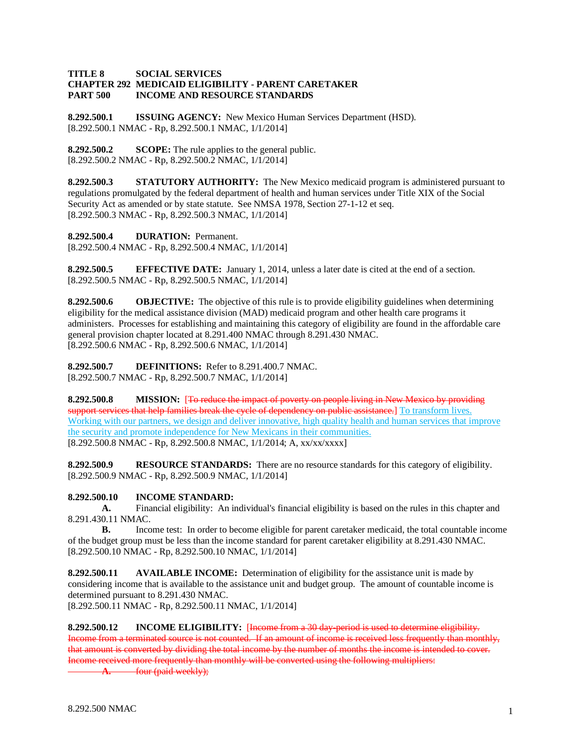## **TITLE 8 SOCIAL SERVICES CHAPTER 292 MEDICAID ELIGIBILITY - PARENT CARETAKER PART 500 INCOME AND RESOURCE STANDARDS**

**8.292.500.1 ISSUING AGENCY:** New Mexico Human Services Department (HSD). [8.292.500.1 NMAC - Rp, 8.292.500.1 NMAC, 1/1/2014]

**8.292.500.2 SCOPE:** The rule applies to the general public. [8.292.500.2 NMAC - Rp, 8.292.500.2 NMAC, 1/1/2014]

**8.292.500.3 STATUTORY AUTHORITY:** The New Mexico medicaid program is administered pursuant to regulations promulgated by the federal department of health and human services under Title XIX of the Social Security Act as amended or by state statute. See NMSA 1978, Section 27-1-12 et seq. [8.292.500.3 NMAC - Rp, 8.292.500.3 NMAC, 1/1/2014]

**8.292.500.4 DURATION:** Permanent.

[8.292.500.4 NMAC - Rp, 8.292.500.4 NMAC, 1/1/2014]

**8.292.500.5 EFFECTIVE DATE:** January 1, 2014, unless a later date is cited at the end of a section. [8.292.500.5 NMAC - Rp, 8.292.500.5 NMAC, 1/1/2014]

**8.292.500.6 OBJECTIVE:** The objective of this rule is to provide eligibility guidelines when determining eligibility for the medical assistance division (MAD) medicaid program and other health care programs it administers. Processes for establishing and maintaining this category of eligibility are found in the affordable care general provision chapter located at 8.291.400 NMAC through 8.291.430 NMAC. [8.292.500.6 NMAC - Rp, 8.292.500.6 NMAC, 1/1/2014]

**8.292.500.7 DEFINITIONS:** Refer to 8.291.400.7 NMAC. [8.292.500.7 NMAC - Rp, 8.292.500.7 NMAC, 1/1/2014]

**8.292.500.8 MISSION:** [To reduce the impact of poverty on people living in New Mexico by providing support services that help families break the cycle of dependency on public assistance.] To transform lives. Working with our partners, we design and deliver innovative, high quality health and human services that improve the security and promote independence for New Mexicans in their communities. [8.292.500.8 NMAC - Rp, 8.292.500.8 NMAC, 1/1/2014; A, xx/xx/xxxx]

**8.292.500.9 RESOURCE STANDARDS:** There are no resource standards for this category of eligibility. [8.292.500.9 NMAC - Rp, 8.292.500.9 NMAC, 1/1/2014]

## **8.292.500.10 INCOME STANDARD:**

**A.** Financial eligibility: An individual's financial eligibility is based on the rules in this chapter and 8.291.430.11 NMAC.

**B.** Income test: In order to become eligible for parent caretaker medicaid, the total countable income of the budget group must be less than the income standard for parent caretaker eligibility at 8.291.430 NMAC. [8.292.500.10 NMAC - Rp, 8.292.500.10 NMAC, 1/1/2014]

**8.292.500.11 AVAILABLE INCOME:** Determination of eligibility for the assistance unit is made by considering income that is available to the assistance unit and budget group. The amount of countable income is determined pursuant to 8.291.430 NMAC.

[8.292.500.11 NMAC - Rp, 8.292.500.11 NMAC, 1/1/2014]

**8.292.500.12 INCOME ELIGIBILITY:** [Income from a 30 day-period is used to determine eligibility. Income from a terminated source is not counted. If an amount of income is received less frequently than monthly, that amount is converted by dividing the total income by the number of months the income is intended to cover. Income received more frequently than monthly will be converted using the following multipliers:

**A.** four (paid weekly);